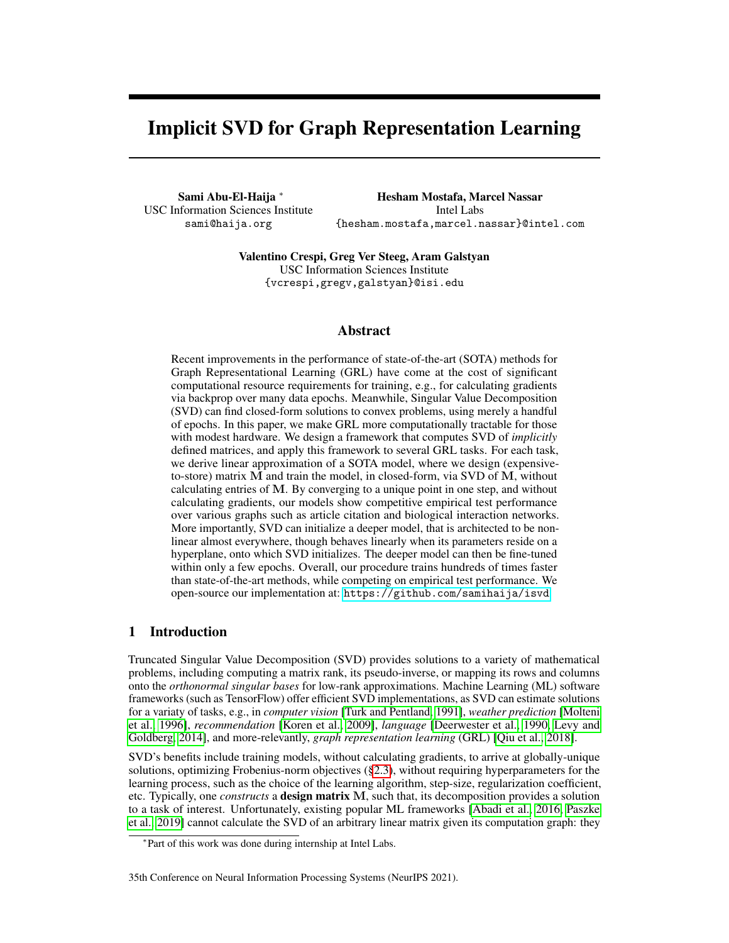# Implicit SVD for Graph Representation Learning

Sami Abu-El-Haija <sup>∗</sup> USC Information Sciences Institute sami@haija.org

Hesham Mostafa, Marcel Nassar Intel Labs {hesham.mostafa,marcel.nassar}@intel.com

Valentino Crespi, Greg Ver Steeg, Aram Galstyan USC Information Sciences Institute {vcrespi,gregv,galstyan}@isi.edu

## Abstract

Recent improvements in the performance of state-of-the-art (SOTA) methods for Graph Representational Learning (GRL) have come at the cost of significant computational resource requirements for training, e.g., for calculating gradients via backprop over many data epochs. Meanwhile, Singular Value Decomposition (SVD) can find closed-form solutions to convex problems, using merely a handful of epochs. In this paper, we make GRL more computationally tractable for those with modest hardware. We design a framework that computes SVD of *implicitly* defined matrices, and apply this framework to several GRL tasks. For each task, we derive linear approximation of a SOTA model, where we design (expensiveto-store) matrix M and train the model, in closed-form, via SVD of M, without calculating entries of M. By converging to a unique point in one step, and without calculating gradients, our models show competitive empirical test performance over various graphs such as article citation and biological interaction networks. More importantly, SVD can initialize a deeper model, that is architected to be nonlinear almost everywhere, though behaves linearly when its parameters reside on a hyperplane, onto which SVD initializes. The deeper model can then be fine-tuned within only a few epochs. Overall, our procedure trains hundreds of times faster than state-of-the-art methods, while competing on empirical test performance. We open-source our implementation at: <https://github.com/samihaija/isvd>

# 1 Introduction

Truncated Singular Value Decomposition (SVD) provides solutions to a variety of mathematical problems, including computing a matrix rank, its pseudo-inverse, or mapping its rows and columns onto the *orthonormal singular bases* for low-rank approximations. Machine Learning (ML) software frameworks (such as TensorFlow) offer efficient SVD implementations, as SVD can estimate solutions for a variaty of tasks, e.g., in *computer vision* [\[Turk and Pentland, 1991\]](#page-12-0), *weather prediction* [\[Molteni](#page-11-0) [et al., 1996\]](#page-11-0), *recommendation* [\[Koren et al., 2009\]](#page-11-1), *language* [\[Deerwester et al., 1990,](#page-10-0) [Levy and](#page-11-2) [Goldberg, 2014\]](#page-11-2), and more-relevantly, *graph representation learning* (GRL) [\[Qiu et al., 2018\]](#page-11-3).

SVD's benefits include training models, without calculating gradients, to arrive at globally-unique solutions, optimizing Frobenius-norm objectives ([§2.3\)](#page-2-0), without requiring hyperparameters for the learning process, such as the choice of the learning algorithm, step-size, regularization coefficient, etc. Typically, one *constructs* a design matrix M, such that, its decomposition provides a solution to a task of interest. Unfortunately, existing popular ML frameworks [\[Abadi et al., 2016,](#page-10-1) [Paszke](#page-11-4) [et al., 2019\]](#page-11-4) cannot calculate the SVD of an arbitrary linear matrix given its computation graph: they

#### 35th Conference on Neural Information Processing Systems (NeurIPS 2021).

<sup>∗</sup> Part of this work was done during internship at Intel Labs.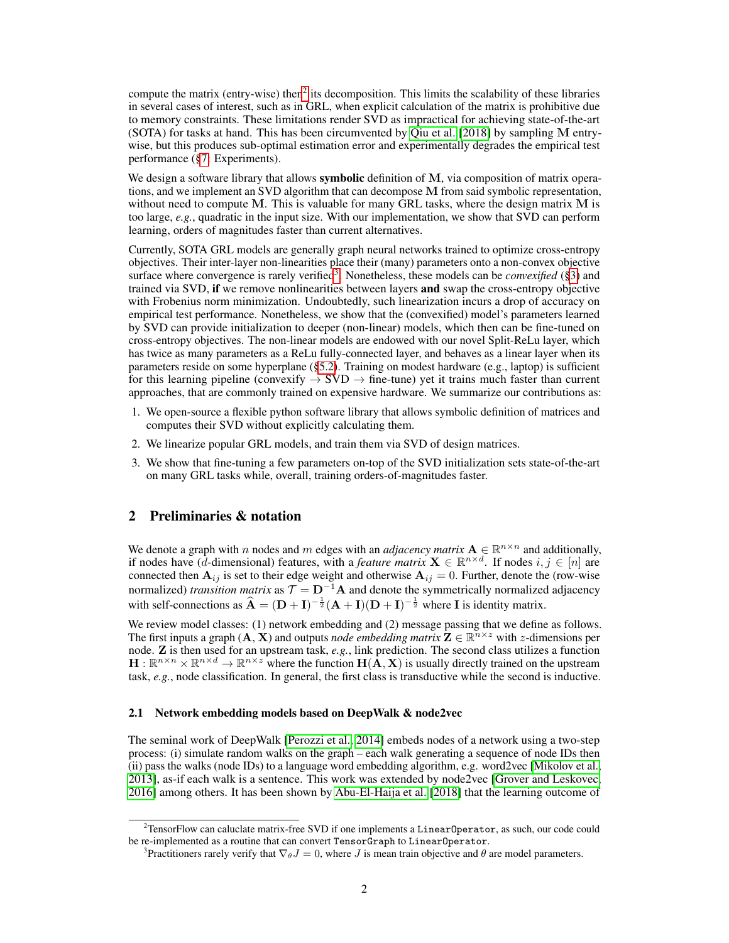compute the matrix (entry-wise) then<sup>[2](#page-1-0)</sup> its decomposition. This limits the scalability of these libraries in several cases of interest, such as in GRL, when explicit calculation of the matrix is prohibitive due to memory constraints. These limitations render SVD as impractical for achieving state-of-the-art (SOTA) for tasks at hand. This has been circumvented by [Qiu et al.](#page-11-3) [\[2018\]](#page-11-3) by sampling M entrywise, but this produces sub-optimal estimation error and experimentally degrades the empirical test performance ([§7:](#page-6-0) Experiments).

We design a software library that allows **symbolic** definition of M, via composition of matrix operations, and we implement an SVD algorithm that can decompose M from said symbolic representation, without need to compute M. This is valuable for many GRL tasks, where the design matrix  $M$  is too large, *e.g.*, quadratic in the input size. With our implementation, we show that SVD can perform learning, orders of magnitudes faster than current alternatives.

Currently, SOTA GRL models are generally graph neural networks trained to optimize cross-entropy objectives. Their inter-layer non-linearities place their (many) parameters onto a non-convex objective surface where convergence is rarely verified<sup>[3](#page-1-1)</sup>. Nonetheless, these models can be *convexified* ([§3\)](#page-3-0) and trained via SVD, if we remove nonlinearities between layers and swap the cross-entropy objective with Frobenius norm minimization. Undoubtedly, such linearization incurs a drop of accuracy on empirical test performance. Nonetheless, we show that the (convexified) model's parameters learned by SVD can provide initialization to deeper (non-linear) models, which then can be fine-tuned on cross-entropy objectives. The non-linear models are endowed with our novel Split-ReLu layer, which has twice as many parameters as a ReLu fully-connected layer, and behaves as a linear layer when its parameters reside on some hyperplane ([§5.2\)](#page-5-0). Training on modest hardware (e.g., laptop) is sufficient for this learning pipeline (convexify  $\rightarrow$  SVD  $\rightarrow$  fine-tune) yet it trains much faster than current approaches, that are commonly trained on expensive hardware. We summarize our contributions as:

- 1. We open-source a flexible python software library that allows symbolic definition of matrices and computes their SVD without explicitly calculating them.
- 2. We linearize popular GRL models, and train them via SVD of design matrices.
- 3. We show that fine-tuning a few parameters on-top of the SVD initialization sets state-of-the-art on many GRL tasks while, overall, training orders-of-magnitudes faster.

# 2 Preliminaries & notation

We denote a graph with n nodes and m edges with an *adjacency matrix*  $A \in \mathbb{R}^{n \times n}$  and additionally, if nodes have (*d*-dimensional) features, with a *feature matrix*  $X \in \mathbb{R}^{n \times d}$ . If nodes  $i, j \in [n]$  are connected then  $A_{ij}$  is set to their edge weight and otherwise  $A_{ij} = 0$ . Further, denote the (row-wise normalized) *transition matrix* as  $\mathcal{T} = \mathbf{D}^{-1}\mathbf{A}$  and denote the symmetrically normalized adjacency with self-connections as  $\hat{A} = (D + I)^{-\frac{1}{2}} (A + I)(D + I)^{-\frac{1}{2}}$  where I is identity matrix.

We review model classes: (1) network embedding and (2) message passing that we define as follows. The first inputs a graph  $(A, X)$  and outputs *node embedding matrix*  $Z \in \mathbb{R}^{n \times z}$  with *z*-dimensions per node. Z is then used for an upstream task, *e.g.*, link prediction. The second class utilizes a function  $H: \mathbb{R}^{n \times n} \times \mathbb{R}^{n \times d} \to \mathbb{R}^{n \times z}$  where the function  $H(\dot{A}, X)$  is usually directly trained on the upstream task, *e.g.*, node classification. In general, the first class is transductive while the second is inductive.

## <span id="page-1-2"></span>2.1 Network embedding models based on DeepWalk & node2vec

The seminal work of DeepWalk [\[Perozzi et al., 2014\]](#page-11-5) embeds nodes of a network using a two-step process: (i) simulate random walks on the graph – each walk generating a sequence of node IDs then (ii) pass the walks (node IDs) to a language word embedding algorithm, e.g. word2vec [\[Mikolov et al.,](#page-11-6) [2013\]](#page-11-6), as-if each walk is a sentence. This work was extended by node2vec [\[Grover and Leskovec,](#page-10-2) [2016\]](#page-10-2) among others. It has been shown by [Abu-El-Haija et al.](#page-10-3) [\[2018\]](#page-10-3) that the learning outcome of

<span id="page-1-0"></span><sup>&</sup>lt;sup>2</sup>TensorFlow can caluclate matrix-free SVD if one implements a LinearOperator, as such, our code could be re-implemented as a routine that can convert TensorGraph to LinearOperator.

<span id="page-1-1"></span><sup>&</sup>lt;sup>3</sup>Practitioners rarely verify that  $\nabla_{\theta} J = 0$ , where J is mean train objective and  $\theta$  are model parameters.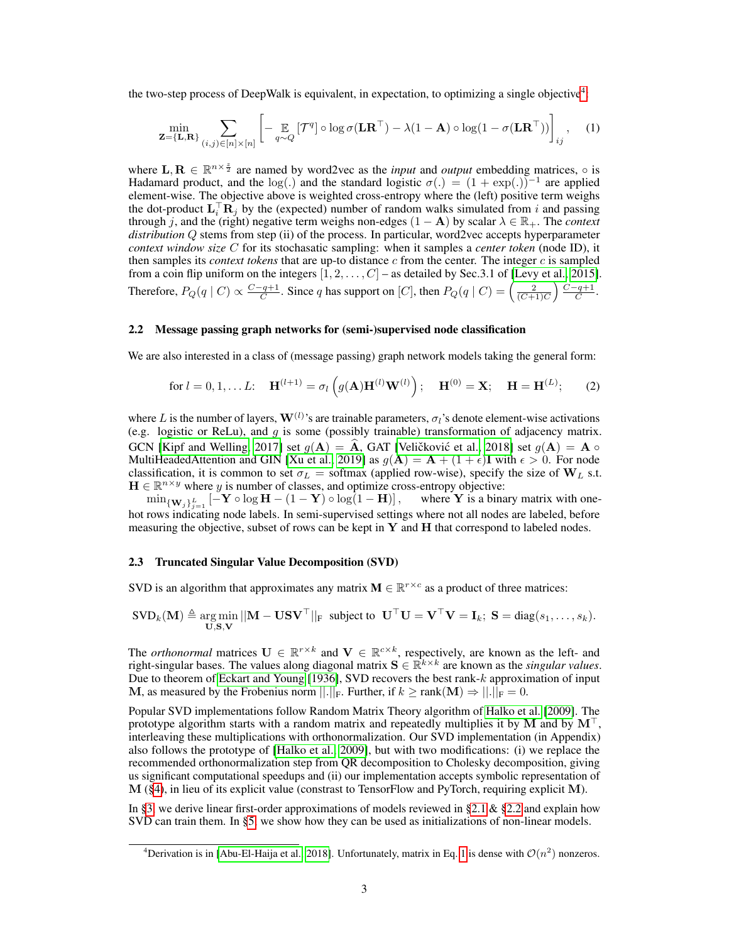the two-step process of DeepWalk is equivalent, in expectation, to optimizing a single objective<sup>[4](#page-2-1)</sup>:

<span id="page-2-3"></span>
$$
\min_{\mathbf{Z}=\{\mathbf{L},\mathbf{R}\}} \sum_{(i,j)\in[n]\times[n]} \left[ -\underset{q\sim Q}{\mathbb{E}} \left[ \mathcal{T}^q \right] \circ \log \sigma(\mathbf{L}\mathbf{R}^\top) - \lambda(1-\mathbf{A}) \circ \log(1-\sigma(\mathbf{L}\mathbf{R}^\top)) \right]_{ij}, \quad (1)
$$

where  $\mathbf{L}, \mathbf{R} \in \mathbb{R}^{n \times \frac{z}{2}}$  are named by word2vec as the *input* and *output* embedding matrices,  $\circ$  is Hadamard product, and the log(.) and the standard logistic  $\sigma(.) = (1 + \exp(.))^{-1}$  are applied element-wise. The objective above is weighted cross-entropy where the (left) positive term weighs the dot-product  $\mathbf{L}_i^{\top} \mathbf{R}_j$  by the (expected) number of random walks simulated from i and passing through j, and the (right) negative term weighs non-edges  $(1 - A)$  by scalar  $\lambda \in \mathbb{R}_+$ . The *context distribution* Q stems from step (ii) of the process. In particular, word2vec accepts hyperparameter *context window size* C for its stochasatic sampling: when it samples a *center token* (node ID), it then samples its *context tokens* that are up-to distance  $c$  from the center. The integer  $c$  is sampled from a coin flip uniform on the integers  $[1, 2, \ldots, C]$  – as detailed by Sec. 3.1 of [\[Levy et al., 2015\]](#page-11-7). Therefore,  $P_Q(q \mid C) \propto \frac{C-q+1}{C}$ . Since q has support on  $[C]$ , then  $P_Q(q \mid C) = \left(\frac{2}{(C+1)C}\right) \frac{C-q+1}{C}$ .

#### <span id="page-2-2"></span>2.2 Message passing graph networks for (semi-)supervised node classification

We are also interested in a class of (message passing) graph network models taking the general form:

<span id="page-2-4"></span>for 
$$
l = 0, 1, ... L
$$
:  $\mathbf{H}^{(l+1)} = \sigma_l \left( g(\mathbf{A}) \mathbf{H}^{(l)} \mathbf{W}^{(l)} \right)$ ;  $\mathbf{H}^{(0)} = \mathbf{X}$ ;  $\mathbf{H} = \mathbf{H}^{(L)}$ ; (2)

where L is the number of layers,  $\mathbf{W}^{(l)}$ 's are trainable parameters,  $\sigma_l$ 's denote element-wise activations (e.g. logistic or ReLu), and  $g$  is some (possibly trainable) transformation of adjacency matrix. GCN [\[Kipf and Welling, 2017\]](#page-11-8) set  $g(A) = \hat{A}$ , GAT [Veličković et al., [2018\]](#page-12-1) set  $g(A) = A \circ$ MultiHeadedAttention and GIN [\[Xu et al., 2019\]](#page-12-2) as  $g(\mathbf{A}) = \mathbf{A} + (1 + \epsilon)\mathbf{I}$  with  $\epsilon > 0$ . For node classification, it is common to set  $\sigma_L$  = softmax (applied row-wise), specify the size of  $W_L$  s.t.  $\mathbf{H} \in \mathbb{R}^{n \times y}$  where y is number of classes, and optimize cross-entropy objective:

 $\min_{\{W_j\}_{j=1}^L} [-Y \circ \log H - (1 - Y) \circ \log(1 - H)],$  where Y is a binary matrix with onehot rows indicating node labels. In semi-supervised settings where not all nodes are labeled, before measuring the objective, subset of rows can be kept in  $Y$  and  $H$  that correspond to labeled nodes.

#### <span id="page-2-0"></span>2.3 Truncated Singular Value Decomposition (SVD)

SVD is an algorithm that approximates any matrix  $M \in \mathbb{R}^{r \times c}$  as a product of three matrices:

$$
SVD_{k}(\mathbf{M}) \triangleq \underset{\mathbf{U}, \mathbf{S}, \mathbf{V}}{\arg \min} ||\mathbf{M} - \mathbf{U}\mathbf{S}\mathbf{V}^{\top}||_{\mathrm{F}} \text{ subject to } \mathbf{U}^{\top}\mathbf{U} = \mathbf{V}^{\top}\mathbf{V} = \mathbf{I}_{k}; \mathbf{S} = \text{diag}(s_{1}, \ldots, s_{k}).
$$

The *orthonormal* matrices  $U \in \mathbb{R}^{r \times k}$  and  $V \in \mathbb{R}^{c \times k}$ , respectively, are known as the left- and right-singular bases. The values along diagonal matrix  $S \in \mathbb{R}^{k \times k}$  are known as the *singular values*. Due to theorem of [Eckart and Young](#page-10-4) [\[1936\]](#page-10-4), SVD recovers the best rank-k approximation of input M, as measured by the Frobenius norm  $||.||_F$ . Further, if  $k \geq \text{rank}(\mathbf{M}) \Rightarrow ||.||_F = 0$ .

Popular SVD implementations follow Random Matrix Theory algorithm of [Halko et al.](#page-10-5) [\[2009\]](#page-10-5). The prototype algorithm starts with a random matrix and repeatedly multiplies it by M and by  $M^{\top}$ , interleaving these multiplications with orthonormalization. Our SVD implementation (in Appendix) also follows the prototype of [\[Halko et al., 2009\]](#page-10-5), but with two modifications: (i) we replace the recommended orthonormalization step from QR decomposition to Cholesky decomposition, giving us significant computational speedups and (ii) our implementation accepts symbolic representation of  $M$  ([§4\)](#page-4-0), in lieu of its explicit value (constrast to TensorFlow and PyTorch, requiring explicit  $M$ ).

In [§3,](#page-3-0) we derive linear first-order approximations of models reviewed in [§2.1](#page-1-2) & [§2.2](#page-2-2) and explain how SVD can train them. In [§5,](#page-4-1) we show how they can be used as initializations of non-linear models.

<span id="page-2-1"></span><sup>&</sup>lt;sup>4</sup>Derivation is in [\[Abu-El-Haija et al., 2018\]](#page-10-3). Unfortunately, matrix in Eq. [1](#page-2-3) is dense with  $\mathcal{O}(n^2)$  nonzeros.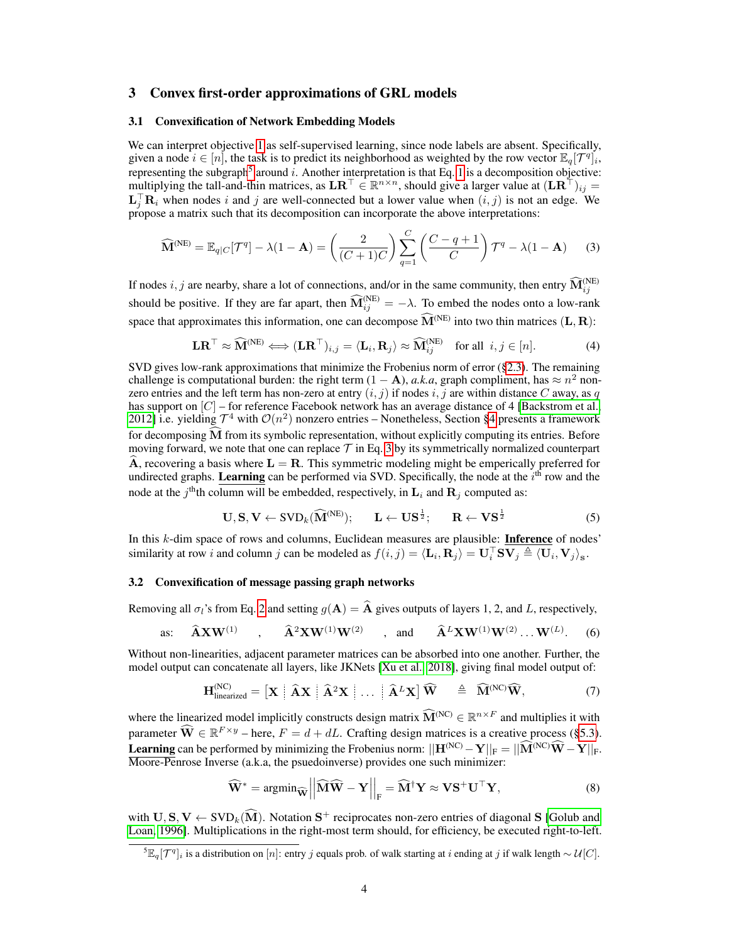## <span id="page-3-0"></span>3 Convex first-order approximations of GRL models

### <span id="page-3-6"></span>3.1 Convexification of Network Embedding Models

We can interpret objective [1](#page-2-3) as self-supervised learning, since node labels are absent. Specifically, given a node  $i \in [n]$ , the task is to predict its neighborhood as weighted by the row vector  $\mathbb{E}_q[\mathcal{T}^q]_i$ , representing the subgraph<sup>[5](#page-3-1)</sup> around i. Another interpretation is that Eq. [1](#page-2-3) is a decomposition objective: multiplying the tall-and-thin matrices, as  $LR^\top \in \mathbb{R}^{n \times n}$ , should give a larger value at  $(LR^\top)_{ij} =$  $\mathbf{L}_j^{\top} \mathbf{R}_i$  when nodes i and j are well-connected but a lower value when  $(i, j)$  is not an edge. We propose a matrix such that its decomposition can incorporate the above interpretations:

$$
\widehat{\mathbf{M}}^{(\text{NE})} = \mathbb{E}_{q|C}[\mathcal{T}^q] - \lambda(1 - \mathbf{A}) = \left(\frac{2}{(C+1)C}\right) \sum_{q=1}^{C} \left(\frac{C-q+1}{C}\right) \mathcal{T}^q - \lambda(1 - \mathbf{A}) \tag{3}
$$

If nodes i, j are nearby, share a lot of connections, and/or in the same community, then entry  $\widehat{M}_{ij}^{(NE)}$ should be positive. If they are far apart, then  $\widehat{M}_{ij}^{(NE)} = -\lambda$ . To embed the nodes onto a low-rank space that approximates this information, one can decompose  $\widehat{M}^{(NE)}$  into two thin matrices (L, R):

<span id="page-3-2"></span>
$$
\mathbf{LR}^{\top} \approx \widehat{\mathbf{M}}^{(\text{NE})} \Longleftrightarrow (\mathbf{LR}^{\top})_{i,j} = \langle \mathbf{L}_i, \mathbf{R}_j \rangle \approx \widehat{\mathbf{M}}_{ij}^{(\text{NE})} \quad \text{for all } i, j \in [n]. \tag{4}
$$

SVD gives low-rank approximations that minimize the Frobenius norm of error ([§2.3\)](#page-2-0). The remaining challenge is computational burden: the right term  $(1 - A)$ , *a.k.a*, graph compliment, has  $\approx n^2$  nonzero entries and the left term has non-zero at entry  $(i, j)$  if nodes  $i, j$  are within distance C away, as q has support on  $[C]$  – for reference Facebook network has an average distance of 4 [\[Backstrom et al.,](#page-10-6) [2012\]](#page-10-6) i.e. yielding  $\mathcal{T}^4$  with  $\mathcal{O}(n^2)$  nonzero entries – Nonetheless, Section [§4](#page-4-0) presents a framework for decomposing M from its symbolic representation, without explicitly computing its entries. Before moving forward, we note that one can replace  $\mathcal T$  in Eq. [3](#page-3-2) by its symmetrically normalized counterpart  $\dot{A}$ , recovering a basis where  $L = R$ . This symmetric modeling might be emperically preferred for undirected graphs. Learning can be performed via SVD. Specifically, the node at the  $i<sup>th</sup>$  row and the node at the j<sup>th</sup>th column will be embedded, respectively, in  $\mathbf{L}_i$  and  $\mathbf{R}_j$  computed as:

<span id="page-3-5"></span>
$$
\mathbf{U}, \mathbf{S}, \mathbf{V} \leftarrow \text{SVD}_k(\widehat{\mathbf{M}}^{(\text{NE})}); \qquad \mathbf{L} \leftarrow \mathbf{US}^{\frac{1}{2}}; \qquad \mathbf{R} \leftarrow \mathbf{VS}^{\frac{1}{2}} \tag{5}
$$

In this k-dim space of rows and columns, Euclidean measures are plausible: **Inference** of nodes' similarity at row i and column j can be modeled as  $f(i, j) = \langle \mathbf{L}_i, \mathbf{R}_j \rangle = \mathbf{U}_i^{\top} \mathbf{S} \mathbf{V}_j \triangleq \langle \mathbf{U}_i, \mathbf{V}_j \rangle_{\mathbf{s}}.$ 

## <span id="page-3-7"></span>3.2 Convexification of message passing graph networks

Removing all  $\sigma_l$ 's from Eq. [2](#page-2-4) and setting  $g(A) = \hat{A}$  gives outputs of layers 1, 2, and L, respectively,

as: 
$$
\widehat{\mathbf{A}} \mathbf{X} \mathbf{W}^{(1)}
$$
,  $\widehat{\mathbf{A}}^2 \mathbf{X} \mathbf{W}^{(1)} \mathbf{W}^{(2)}$ , and  $\widehat{\mathbf{A}}^L \mathbf{X} \mathbf{W}^{(1)} \mathbf{W}^{(2)} \dots \mathbf{W}^{(L)}$ . (6)

Without non-linearities, adjacent parameter matrices can be absorbed into one another. Further, the model output can concatenate all layers, like JKNets [\[Xu et al., 2018\]](#page-12-3), giving final model output of:

$$
\mathbf{H}_{\text{linearized}}^{\text{(NC)}} = \left[ \mathbf{X} \mid \widehat{\mathbf{A}} \mathbf{X} \mid \widehat{\mathbf{A}}^2 \mathbf{X} \mid \ldots \mid \widehat{\mathbf{A}}^L \mathbf{X} \right] \widehat{\mathbf{W}} \quad \triangleq \quad \widehat{\mathbf{M}}^{\text{(NC)}} \widehat{\mathbf{W}}, \tag{7}
$$

where the linearized model implicitly constructs design matrix  $\widehat{M}^{(NC)} \in \mathbb{R}^{n \times F}$  and multiplies it with parameter  $\widehat{\mathbf{W}} \in \mathbb{R}^{F \times y}$  – here,  $F = d + dL$ . Crafting design matrices is a creative process ([§5.3\)](#page-5-1). **Learning** can be performed by minimizing the Frobenius norm:  $||\mathbf{H}^{(NC)} - \mathbf{Y}||_F = ||\widehat{\mathbf{M}}^{(NC)}\widehat{\mathbf{W}} - \mathbf{Y}||_F$ . Moore-Penrose Inverse (a.k.a, the psuedoinverse) provides one such minimizer:

<span id="page-3-4"></span><span id="page-3-3"></span>
$$
\widehat{\mathbf{W}}^* = \operatorname{argmin}_{\widehat{\mathbf{W}}} \left| \left| \widehat{\mathbf{M}} \widehat{\mathbf{W}} - \mathbf{Y} \right| \right|_{\mathrm{F}} = \widehat{\mathbf{M}}^{\dagger} \mathbf{Y} \approx \mathbf{V} \mathbf{S}^+ \mathbf{U}^{\top} \mathbf{Y},\tag{8}
$$

with  $\mathbf{U}, \mathbf{S}, \mathbf{V} \leftarrow \text{SVD}_k(\widehat{\mathbf{M}})$ . Notation  $\mathbf{S}^+$  reciprocates non-zero entries of diagonal  $\mathbf{S}$  [\[Golub and](#page-10-7) [Loan, 1996\]](#page-10-7). Multiplications in the right-most term should, for efficiency, be executed right-to-left.

<span id="page-3-1"></span> $\sqrt[5]{\mathbb{E}_q[\mathcal{T}^q]_i}$  is a distribution on  $[n]$ : entry j equals prob. of walk starting at i ending at j if walk length  $\sim \mathcal{U}[C]$ .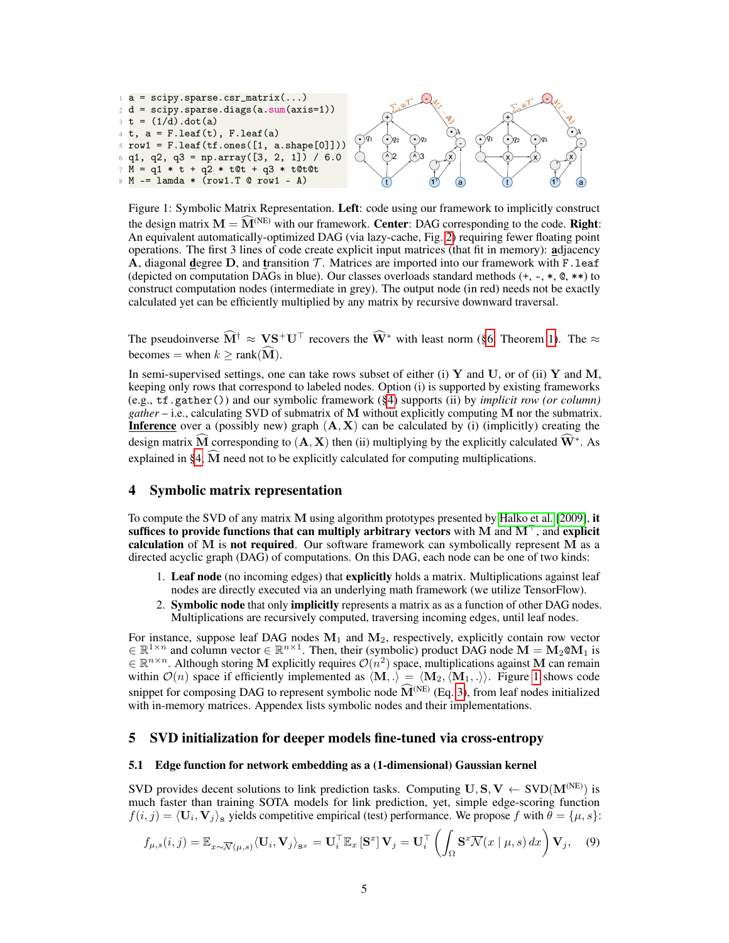<span id="page-4-2"></span>

Figure 1: Symbolic Matrix Representation. Left: code using our framework to implicitly construct the design matrix  $M = \widehat{M}^{(NE)}$  with our framework. Center: DAG corresponding to the code. Right: An equivalent automatically-optimized DAG (via lazy-cache, Fig. [2\)](#page-8-0) requiring fewer floating point operations. The first 3 lines of code create explicit input matrices (that fit in memory): adjacency  $\overline{A}$ , diagonal degree D, and transition T. Matrices are imported into our framework with F. leaf (depicted on computation DAGs in blue). Our classes overloads standard methods  $(+, -, *, \mathcal{Q}, **)$  to construct computation nodes (intermediate in grey). The output node (in red) needs not be exactly calculated yet can be efficiently multiplied by any matrix by recursive downward traversal.

The pseudoinverse  $\widehat{M}^{\dagger} \approx \mathbf{V} \mathbf{S}^+ \mathbf{U}^{\top}$  recovers the  $\widehat{\mathbf{W}}^*$  with least norm ([§6,](#page-6-1) Theorem [1\)](#page-6-2). The  $\approx$ becomes = when  $k \geq \text{rank}(\widehat{\mathbf{M}})$ .

In semi-supervised settings, one can take rows subset of either (i) Y and U, or of (ii) Y and M, keeping only rows that correspond to labeled nodes. Option (i) is supported by existing frameworks (e.g., tf.gather()) and our symbolic framework ([§4\)](#page-4-0) supports (ii) by *implicit row (or column) gather* – i.e., calculating SVD of submatrix of M without explicitly computing M nor the submatrix. **Inference** over a (possibly new) graph  $(A, X)$  can be calculated by (i) (implicitly) creating the design matrix  $\widehat{M}$  corresponding to  $(A, X)$  then (ii) multiplying by the explicitly calculated  $\widehat{W}^*$ . As explained in [§4,](#page-4-0)  $\widehat{M}$  need not to be explicitly calculated for computing multiplications.

# <span id="page-4-0"></span>4 Symbolic matrix representation

To compute the SVD of any matrix M using algorithm prototypes presented by [Halko et al.](#page-10-5) [\[2009\]](#page-10-5), it suffices to provide functions that can multiply arbitrary vectors with M and  $M^{\top}$ , and explicit calculation of  $M$  is not required. Our software framework can symbolically represent  $\overline{M}$  as a directed acyclic graph (DAG) of computations. On this DAG, each node can be one of two kinds:

- 1. Leaf node (no incoming edges) that explicitly holds a matrix. Multiplications against leaf nodes are directly executed via an underlying math framework (we utilize TensorFlow).
- 2. Symbolic node that only implicitly represents a matrix as as a function of other DAG nodes. Multiplications are recursively computed, traversing incoming edges, until leaf nodes.

For instance, suppose leaf DAG nodes  $M_1$  and  $M_2$ , respectively, explicitly contain row vector  $\in \mathbb{R}^{1 \times n}$  and column vector  $\in \mathbb{R}^{n \times 1}$ . Then, their (symbolic) product DAG node  $M = M_2 \otimes M_1$  is  $\in \mathbb{R}^{n \times n}$ . Although storing M explicitly requires  $\mathcal{O}(n^2)$  space, multiplications against M can remain within  $\mathcal{O}(n)$  space if efficiently implemented as  $\langle \mathbf{M}, .\rangle = \langle \mathbf{M}_2, \langle \mathbf{M}_1, .\rangle$ . Figure [1](#page-4-2) shows code snippet for composing DAG to represent symbolic node  $\widehat{M}^{(NE)}$  (Eq. [3\)](#page-3-2), from leaf nodes initialized with in-memory matrices. Appendex lists symbolic nodes and their implementations.

## <span id="page-4-1"></span>5 SVD initialization for deeper models fine-tuned via cross-entropy

## <span id="page-4-3"></span>5.1 Edge function for network embedding as a (1-dimensional) Gaussian kernel

SVD provides decent solutions to link prediction tasks. Computing  $U, S, V \leftarrow SVD(M^{(NE)})$  is much faster than training SOTA models for link prediction, yet, simple edge-scoring function  $f(i, j) = \langle \mathbf{U}_i, \mathbf{V}_j \rangle_s$  yields competitive empirical (test) performance. We propose f with  $\theta = {\mu, s}$ :

<span id="page-4-4"></span>
$$
f_{\mu,s}(i,j) = \mathbb{E}_{x \sim \overline{\mathcal{N}}(\mu,s)} \langle \mathbf{U}_i, \mathbf{V}_j \rangle_{\mathbf{s}^x} = \mathbf{U}_i^\top \mathbb{E}_x \left[ \mathbf{S}^x \right] \mathbf{V}_j = \mathbf{U}_i^\top \left( \int_{\Omega} \mathbf{S}^x \overline{\mathcal{N}}(x \mid \mu, s) \, dx \right) \mathbf{V}_j, \tag{9}
$$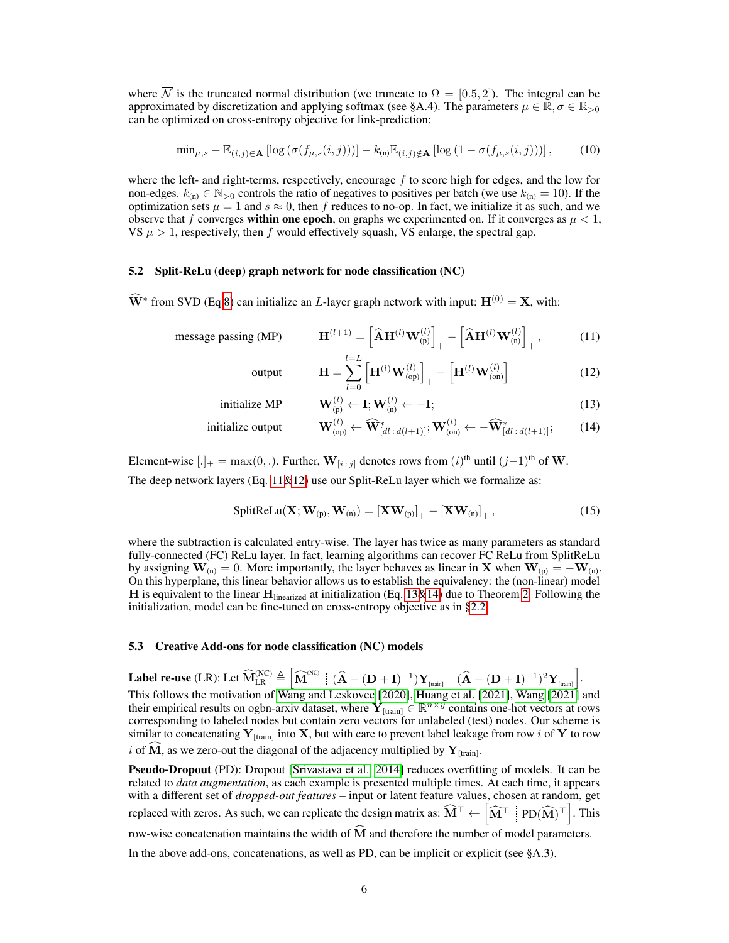where  $\overline{\mathcal{N}}$  is the truncated normal distribution (we truncate to  $\Omega = [0.5, 2]$ ). The integral can be approximated by discretization and applying softmax (see §A.4). The parameters  $\mu \in \mathbb{R}, \sigma \in \mathbb{R}_{>0}$ can be optimized on cross-entropy objective for link-prediction:

<span id="page-5-6"></span>
$$
\min_{\mu, s} - \mathbb{E}_{(i,j)\in\mathbf{A}}\left[\log\left(\sigma(f_{\mu,s}(i,j))\right)\right] - k_{(n)}\mathbb{E}_{(i,j)\notin\mathbf{A}}\left[\log\left(1 - \sigma(f_{\mu,s}(i,j))\right)\right],\tag{10}
$$

where the left- and right-terms, respectively, encourage  $f$  to score high for edges, and the low for non-edges.  $k_{(n)} \in \mathbb{N}_{>0}$  controls the ratio of negatives to positives per batch (we use  $k_{(n)} = 10$ ). If the optimization sets  $\mu = 1$  and  $s \approx 0$ , then f reduces to no-op. In fact, we initialize it as such, and we observe that f converges **within one epoch**, on graphs we experimented on. If it converges as  $\mu < 1$ , VS  $\mu > 1$ , respectively, then f would effectively squash, VS enlarge, the spectral gap.

## <span id="page-5-0"></span>5.2 Split-ReLu (deep) graph network for node classification (NC)

 $\widehat{W}^*$  from SVD (Eq[.8\)](#page-3-3) can initialize an *L*-layer graph network with input:  $H^{(0)} = X$ , with:

message passing (MP) 
$$
\mathbf{H}^{(l+1)} = \left[\widehat{\mathbf{A}}\mathbf{H}^{(l)}\mathbf{W}_{(p)}^{(l)}\right]_{+} - \left[\widehat{\mathbf{A}}\mathbf{H}^{(l)}\mathbf{W}_{(n)}^{(l)}\right]_{+}, \quad (11)
$$

<span id="page-5-5"></span><span id="page-5-4"></span><span id="page-5-3"></span><span id="page-5-2"></span>output 
$$
\mathbf{H} = \sum_{l=0}^{l=L} \left[ \mathbf{H}^{(l)} \mathbf{W}_{(\text{op})}^{(l)} \right]_{+} - \left[ \mathbf{H}^{(l)} \mathbf{W}_{(\text{on})}^{(l)} \right]_{+}
$$
(12)

$$
\text{initialize MP} \qquad \qquad \mathbf{W}_{(p)}^{(l)} \leftarrow \mathbf{I}; \mathbf{W}_{(n)}^{(l)} \leftarrow -\mathbf{I}; \tag{13}
$$

$$
\text{initialize output} \qquad \qquad \mathbf{W}_{\text{(op)}}^{(l)} \leftarrow \widehat{\mathbf{W}}_{[dl\,:\,d(l+1)]}^{*}; \mathbf{W}_{\text{(on)}}^{(l)} \leftarrow -\widehat{\mathbf{W}}_{[dl\,:\,d(l+1)]}^{*};\tag{14}
$$

Element-wise  $[.]_+ = \max(0, .)$ . Further,  $\mathbf{W}_{[i:j]}$  denotes rows from  $(i)$ <sup>th</sup> until  $(j-1)$ <sup>th</sup> of **W**. The deep network layers (Eq.  $11\&12$ ) use our Split-ReLu layer which we formalize as:

$$
SplitReLU(\mathbf{X}; \mathbf{W}_{(p)}, \mathbf{W}_{(n)}) = \left[\mathbf{X}\mathbf{W}_{(p)}\right]_{+} - \left[\mathbf{X}\mathbf{W}_{(n)}\right]_{+},\tag{15}
$$

where the subtraction is calculated entry-wise. The layer has twice as many parameters as standard fully-connected (FC) ReLu layer. In fact, learning algorithms can recover FC ReLu from SplitReLu by assigning  $W_{(n)} = 0$ . More importantly, the layer behaves as linear in X when  $W_{(p)} = -W_{(n)}$ . On this hyperplane, this linear behavior allows us to establish the equivalency: the (non-linear) model H is equivalent to the linear  $H_{linearized}$  at initialization (Eq. [13&](#page-5-4)[14\)](#page-5-5) due to Theorem [2.](#page-6-3) Following the initialization, model can be fine-tuned on cross-entropy objective as in [§2.2.](#page-2-2)

#### <span id="page-5-1"></span>5.3 Creative Add-ons for node classification (NC) models

Label re-use (LR): Let  $\widehat{\mathbf{M}}_{\text{LR}}^{\text{(NC)}} \triangleq \left[ \widehat{\mathbf{M}}^{\text{(NC)}} \; \middle\vert \; (\widehat{\mathbf{A}} - (\mathbf{D} + \mathbf{I})^{-1}) \mathbf{Y}_{\text{[train]}} \; \middle\vert \; (\widehat{\mathbf{A}} - (\mathbf{D} + \mathbf{I})^{-1})^2 \mathbf{Y}_{\text{[train]}} \right]$ This follows the motivation of [Wang and Leskovec](#page-12-4) [\[2020\]](#page-12-4), [Huang et al.](#page-11-9) [\[2021\]](#page-12-5), [Wang](#page-12-5) [2021] and their empirical results on ogbn-arxiv dataset, where  $\overline{Y}_{[train]} \in \mathbb{R}^{n \times y}$  contains one-hot vectors at rows corresponding to labeled nodes but contain zero vectors for unlabeled (test) nodes. Our scheme is similar to concatenating  $Y_{[train]}$  into X, but with care to prevent label leakage from row i of Y to row i of M, as we zero-out the diagonal of the adjacency multiplied by  $Y_{[train]}$ .

**Pseudo-Dropout** (PD): Dropout [\[Srivastava et al., 2014\]](#page-11-10) reduces overfitting of models. It can be related to *data augmentation*, as each example is presented multiple times. At each time, it appears with a different set of *dropped-out features* – input or latent feature values, chosen at random, get replaced with zeros. As such, we can replicate the design matrix as:  $\widehat{\mathbf{M}}^{\top} \leftarrow \left[ \widehat{\mathbf{M}}^{\top} \ \middle| \ \text{PD}(\widehat{\mathbf{M}})^{\top} \right]$ . This row-wise concatenation maintains the width of  $\widehat{M}$  and therefore the number of model parameters. In the above add-ons, concatenations, as well as PD, can be implicit or explicit (see §A.3).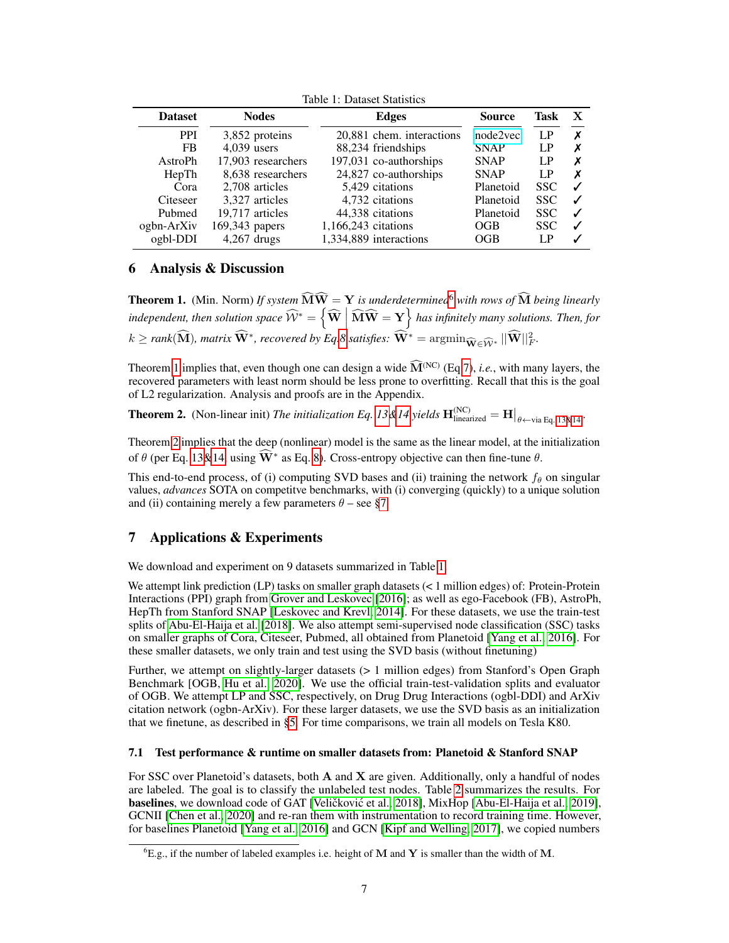<span id="page-6-5"></span>

| 10010 11 DUGOOC DUGOOGO |                    |                               |             |            |   |  |  |
|-------------------------|--------------------|-------------------------------|-------------|------------|---|--|--|
| <b>Dataset</b>          | <b>Nodes</b>       | <b>Source</b><br><b>Edges</b> |             | Task       | х |  |  |
| <b>PPI</b>              | 3,852 proteins     | 20,881 chem. interactions     | node2vec    | LP         | X |  |  |
| <b>FB</b>               | $4.039$ users      | 88,234 friendships            | <b>SNAP</b> | LP         |   |  |  |
| AstroPh                 | 17,903 researchers | 197,031 co-authorships        | <b>SNAP</b> | LP         |   |  |  |
| HepTh                   | 8.638 researchers  | 24,827 co-authorships         | <b>SNAP</b> | LP         | х |  |  |
| Cora                    | 2.708 articles     | 5.429 citations               | Planetoid   | SSC.       |   |  |  |
| Citeseer                | 3.327 articles     | 4,732 citations               | Planetoid   | <b>SSC</b> |   |  |  |
| Pubmed                  | 19.717 articles    | 44,338 citations              | Planetoid   | <b>SSC</b> |   |  |  |
| ogbn-ArXiv              | 169,343 papers     | 1,166,243 citations           | OGB         | <b>SSC</b> |   |  |  |
| ogbl-DDI                | $4,267$ drugs      | 1,334,889 interactions        | OGB         | LP         |   |  |  |
|                         |                    |                               |             |            |   |  |  |

Table 1: Dataset Statistics

# <span id="page-6-1"></span>6 Analysis & Discussion

<span id="page-6-2"></span>**Theorem 1.** (Min. Norm) If system  $\widehat{M}\widehat{W} = Y$  is underdetermined<sup>[6](#page-6-4)</sup> with rows of  $\widehat{M}$  being linearly  $independent, then solution space \ \widehat{\mathcal{W}}^* = \left\{\widehat{\mathbf{W}} \ \middle| \ \widehat{\mathbf{M}} \widehat{\mathbf{W}} = \mathbf{Y} \right\}$  has infinitely many solutions. Then, for  $k \geq rank(\widehat{\mathbf{M}})$ , matrix  $\widehat{\mathbf{W}}^*$ , recovered by Eq[.8](#page-3-3) satisfies:  $\widehat{\mathbf{W}}^* = \mathrm{argmin}_{\widehat{\mathbf{W}} \in \widehat{\mathcal{W}}^*} ||\widehat{\mathbf{W}}||_F^2$ .

Theorem [1](#page-6-2) implies that, even though one can design a wide  $\widehat{M}^{(NC)}$  (Eq[.7\)](#page-3-4), *i.e.*, with many layers, the recovered parameters with least norm should be less prone to overfitting. Recall that this is the goal of L2 regularization. Analysis and proofs are in the Appendix.

<span id="page-6-3"></span>**Theorem 2.** (Non-linear init) *The initialization Eq. [13&](#page-5-4)[14](#page-5-5) yields*  $H_{\text{linearized}}^{\text{(NC)}} = H|_{\theta \leftarrow \text{via Eq. 13&14}}$  $H_{\text{linearized}}^{\text{(NC)}} = H|_{\theta \leftarrow \text{via Eq. 13&14}}$  $H_{\text{linearized}}^{\text{(NC)}} = H|_{\theta \leftarrow \text{via Eq. 13&14}}$  $H_{\text{linearized}}^{\text{(NC)}} = H|_{\theta \leftarrow \text{via Eq. 13&14}}$ .

Theorem [2](#page-6-3) implies that the deep (nonlinear) model is the same as the linear model, at the initialization of  $\theta$  (per Eq. [13&](#page-5-4)[14,](#page-5-5) using  $\widehat{W}^*$  as Eq. [8\)](#page-3-3). Cross-entropy objective can then fine-tune  $\theta$ .

This end-to-end process, of (i) computing SVD bases and (ii) training the network  $f_\theta$  on singular values, *advances* SOTA on competitve benchmarks, with (i) converging (quickly) to a unique solution and (ii) containing merely a few parameters  $\theta$  – see [§7.](#page-6-0)

# <span id="page-6-0"></span>7 Applications & Experiments

We download and experiment on 9 datasets summarized in Table [1.](#page-6-5)

We attempt link prediction (LP) tasks on smaller graph datasets (< 1 million edges) of: Protein-Protein Interactions (PPI) graph from [Grover and Leskovec](#page-10-2) [\[2016\]](#page-10-2); as well as ego-Facebook (FB), AstroPh, HepTh from Stanford SNAP [\[Leskovec and Krevl, 2014\]](#page-11-11). For these datasets, we use the train-test splits of [Abu-El-Haija et al.](#page-10-3) [\[2018\]](#page-10-3). We also attempt semi-supervised node classification (SSC) tasks on smaller graphs of Cora, Citeseer, Pubmed, all obtained from Planetoid [\[Yang et al., 2016\]](#page-12-6). For these smaller datasets, we only train and test using the SVD basis (without finetuning)

Further, we attempt on slightly-larger datasets (> 1 million edges) from Stanford's Open Graph Benchmark [OGB, [Hu et al., 2020\]](#page-11-12). We use the official train-test-validation splits and evaluator of OGB. We attempt LP and SSC, respectively, on Drug Drug Interactions (ogbl-DDI) and ArXiv citation network (ogbn-ArXiv). For these larger datasets, we use the SVD basis as an initialization that we finetune, as described in [§5.](#page-4-1) For time comparisons, we train all models on Tesla K80.

## 7.1 Test performance & runtime on smaller datasets from: Planetoid & Stanford SNAP

For SSC over Planetoid's datasets, both  $A$  and  $X$  are given. Additionally, only a handful of nodes are labeled. The goal is to classify the unlabeled test nodes. Table [2](#page-7-0) summarizes the results. For baselines, we download code of GAT [Veličković et al., [2018\]](#page-12-1), MixHop [\[Abu-El-Haija et al., 2019\]](#page-10-8), GCNII [\[Chen et al., 2020\]](#page-10-9) and re-ran them with instrumentation to record training time. However, for baselines Planetoid [\[Yang et al., 2016\]](#page-12-6) and GCN [\[Kipf and Welling, 2017\]](#page-11-8), we copied numbers

<span id="page-6-4"></span> ${}^6E.g.,$  if the number of labeled examples i.e. height of M and Y is smaller than the width of M.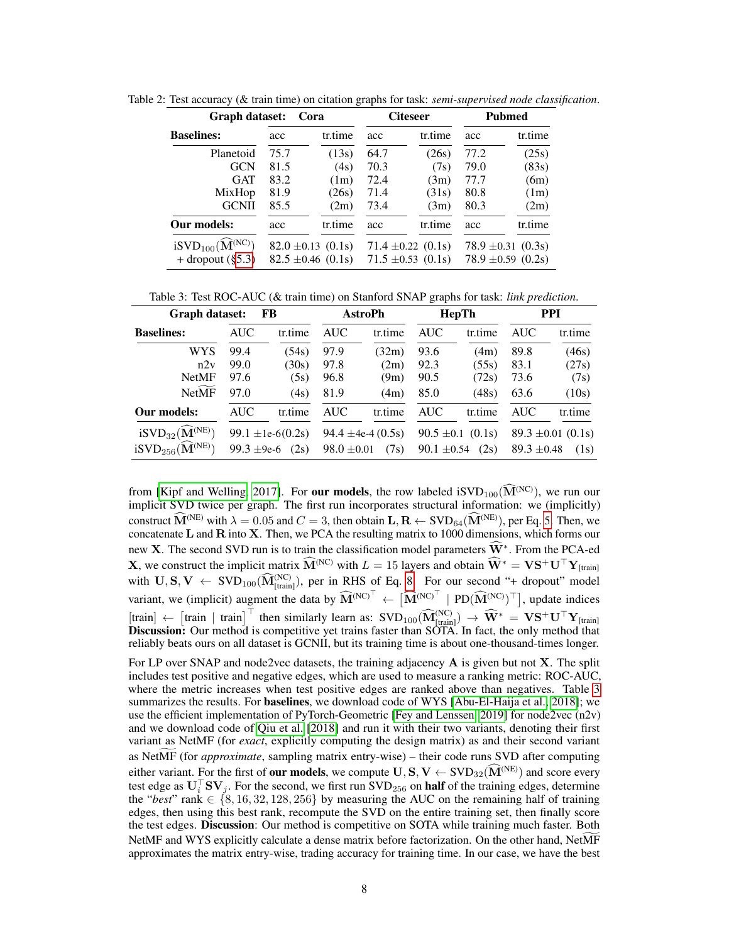| Graph dataset:<br>Cora                                            |      |                                                  | <b>Citeseer</b> |                                                  | Pubmed |                                                  |
|-------------------------------------------------------------------|------|--------------------------------------------------|-----------------|--------------------------------------------------|--------|--------------------------------------------------|
| <b>Baselines:</b>                                                 | acc  | tr.time                                          | acc             | tr.time                                          | acc    | tr.time                                          |
| Planetoid                                                         | 75.7 | (13s)                                            | 64.7            | (26s)                                            | 77.2   | (25s)                                            |
| <b>GCN</b>                                                        | 81.5 | (4s)                                             | 70.3            | (7s)                                             | 79.0   | (83s)                                            |
| <b>GAT</b>                                                        | 83.2 | (1m)                                             | 72.4            | (3m)                                             | 77.7   | (6m)                                             |
| MixHop                                                            | 81.9 | (26s)                                            | 71.4            | (31s)                                            | 80.8   | (1m)                                             |
| <b>GCNII</b>                                                      | 85.5 | (2m)                                             | 73.4            | (3m)                                             | 80.3   | (2m)                                             |
| Our models:                                                       | acc  | tr.time                                          | acc             | tr.time                                          | acc    | tr.time                                          |
| $iSVD_{100}(\widehat{\mathbf{M}}^{(NC)})$<br>+ dropout $(\S 5.3)$ |      | $82.0 \pm 0.13$ (0.1s)<br>$82.5 \pm 0.46$ (0.1s) |                 | $71.4 \pm 0.22$ (0.1s)<br>$71.5 \pm 0.53$ (0.1s) |        | $78.9 \pm 0.31$ (0.3s)<br>78.9 $\pm$ 0.59 (0.2s) |

<span id="page-7-0"></span>Table 2: Test accuracy (& train time) on citation graphs for task: *semi-supervised node classification*.

<span id="page-7-1"></span>Table 3: Test ROC-AUC (& train time) on Stanford SNAP graphs for task: *link prediction*.

| Graph dataset:<br>FB                                                                  |                 | <b>AstroPh</b>                |                 | HepTh                          |                                   | <b>PPI</b>     |                 |                                |
|---------------------------------------------------------------------------------------|-----------------|-------------------------------|-----------------|--------------------------------|-----------------------------------|----------------|-----------------|--------------------------------|
| <b>Baselines:</b>                                                                     | <b>AUC</b>      | tr.time                       | <b>AUC</b>      | tr.time                        | <b>AUC</b>                        | tr.time        | <b>AUC</b>      | tr.time                        |
| <b>WYS</b>                                                                            | 99.4            | (54s)                         | 97.9            | (32m)                          | 93.6                              | (4m)           | 89.8            | (46s)                          |
| n2v                                                                                   | 99.0            | (30s)                         | 97.8            | (2m)                           | 92.3                              | (55s)          | 83.1            | (27s)                          |
| <b>NetMF</b>                                                                          | 97.6            | (5s)                          | 96.8            | (9m)                           | 90.5                              | (72s)          | 73.6            | (7s)                           |
| <b>NetMF</b>                                                                          | 97.0            | (4s)                          | 81.9            | (4m)                           | 85.0                              | (48s)          | 63.6            | (10s)                          |
| Our models:                                                                           | <b>AUC</b>      | tr.time                       | <b>AUC</b>      | tr.time                        | <b>AUC</b>                        | tr.time        | <b>AUC</b>      | tr.time                        |
| $iSVD_{32}(\widehat{\mathbf{M}}^{(NE)})$<br>$iSVD_{256}(\widehat{\mathbf{M}}^{(NE)})$ | 99.3 $\pm$ 9e-6 | 99.1 $\pm$ 1e-6(0.2s)<br>(2s) | $98.0 \pm 0.01$ | 94.4 $\pm$ 4e-4 (0.5s)<br>(7s) | $90.5 \pm 0.1$<br>$90.1 \pm 0.54$ | (0.1s)<br>(2s) | $89.3 \pm 0.48$ | $89.3 \pm 0.01$ (0.1s)<br>(1s) |
|                                                                                       |                 |                               |                 |                                |                                   |                |                 |                                |

from [\[Kipf and Welling, 2017\]](#page-11-8). For **our models**, the row labeled iSVD<sub>100</sub>( $\widehat{M}^{(NC)}$ ), we run our implicit SVD twice per graph. The first run incorporates structural information: we (implicitly) construct  $\widehat{M}^{(NE)}$  with  $\lambda = 0.05$  and  $C = 3$ , then obtain  $L, R \leftarrow SVD_{64}(\widehat{M}^{(NE)})$ , per Eq. [5.](#page-3-5) Then, we concatenate L and R into X. Then, we PCA the resulting matrix to 1000 dimensions, which forms our new X. The second SVD run is to train the classification model parameters  $\widehat{W}^*$ . From the PCA-ed **X**, we construct the implicit matrix  $\widehat{M}^{(NC)}$  with  $L = 15$  layers and obtain  $\widehat{W}^* = \mathbf{V} \mathbf{S}^+ \mathbf{U}^\top \mathbf{Y}_{[\text{train}]}$ with  $\mathbf{U}, \mathbf{S}, \mathbf{V} \leftarrow \text{SVD}_{100}(\widehat{\mathbf{M}}_{\text{[train]}}^{\text{(NC)}})$ , per in RHS of Eq. [8.](#page-3-3) For our second "+ dropout" model variant, we (implicit) augment the data by  $\widehat{M}^{(NC)^\top} \leftarrow \left[ \widehat{M}^{(NC)^\top} \right] P D (\widehat{M}^{(NC)})^\top$ , update indices [train]  $\leftarrow$  [train | train]<sup>T</sup> then similarly learn as:  $SVD_{100}(\widehat{M}_{[train]}^{(NC)}) \rightarrow \widehat{W}^* = VS^+U^{\top}Y_{[train]}$ <br>**Discussion:** Our method is competitive yet trains faster than SOTA. In fact, the only method that reliably beats ours on all dataset is GCNII, but its training time is about one-thousand-times longer.

For LP over SNAP and node2vec datasets, the training adjacency  $\bf{A}$  is given but not  $\bf{X}$ . The split includes test positive and negative edges, which are used to measure a ranking metric: ROC-AUC, where the metric increases when test positive edges are ranked above than negatives. Table [3](#page-7-1) summarizes the results. For **baselines**, we download code of WYS [\[Abu-El-Haija et al., 2018\]](#page-10-3); we use the efficient implementation of PyTorch-Geometric [\[Fey and Lenssen, 2019\]](#page-10-10) for node2vec (n2v) and we download code of [Qiu et al.](#page-11-3) [\[2018\]](#page-11-3) and run it with their two variants, denoting their first variant as NetMF (for *exact*, explicitly computing the design matrix) as and their second variant as NetMF (for *approximate*, sampling matrix entry-wise) – their code runs SVD after computing either variant. For the first of **our models**, we compute  $\mathbf{U}, \mathbf{S}, \mathbf{V} \leftarrow \text{SVD}_{32}(\widehat{\mathbf{M}}^{(\text{NE})})$  and score every test edge as  $\mathbf{U}_i^{\top} \mathbf{S} \mathbf{V}_j$ . For the second, we first run  $\text{SVD}_{256}$  on **half** of th the "*best*" rank  $\in \{8, 16, 32, 128, 256\}$  by measuring the AUC on the remaining half of training edges, then using this best rank, recompute the SVD on the entire training set, then finally score the test edges. Discussion: Our method is competitive on SOTA while training much faster. Both NetMF and WYS explicitly calculate a dense matrix before factorization. On the other hand, NetMF approximates the matrix entry-wise, trading accuracy for training time. In our case, we have the best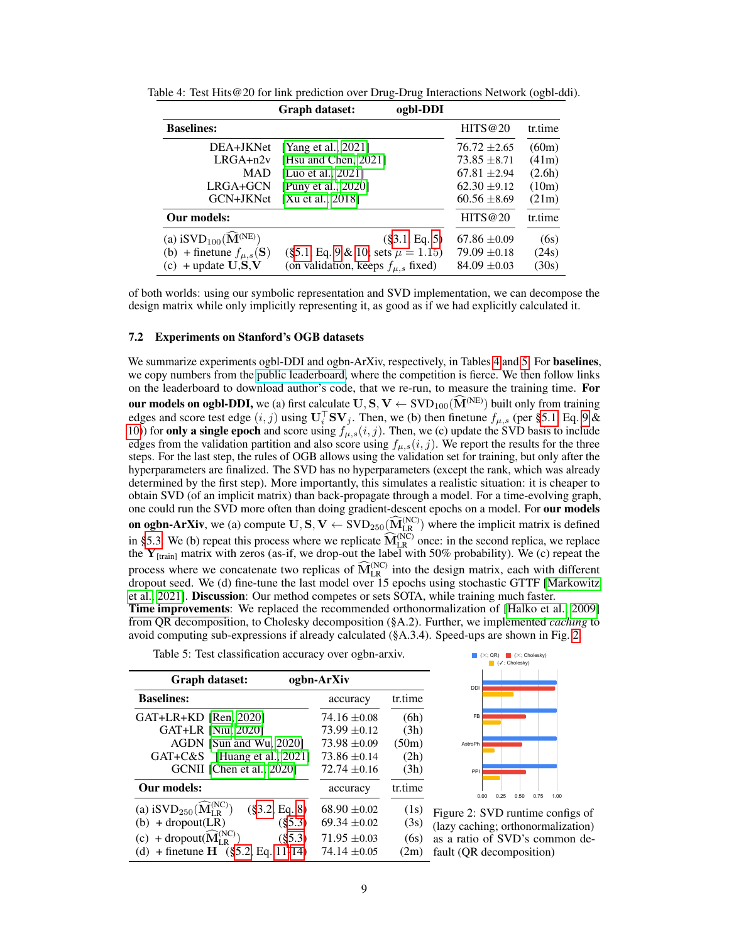|                                               | ogbl-DDI<br>Graph dataset:               |                  |         |
|-----------------------------------------------|------------------------------------------|------------------|---------|
| <b>Baselines:</b>                             |                                          | HITS@20          | tr.time |
| DEA+JKNet                                     | [Yang et al., $2021$ ]                   | $76.72 \pm 2.65$ | (60m)   |
| $LRGA + n2v$                                  | [Hsu and Chen, 2021]                     | $73.85 \pm 8.71$ | (41m)   |
| MAD                                           | [Luo et al., 2021]                       | $67.81 \pm 2.94$ | (2.6h)  |
| LRGA+GCN                                      | [Puny et al., 2020]                      | $62.30 \pm 9.12$ | (10m)   |
| GCN+JKNet                                     | [Xu et al., 2018]                        | $60.56 \pm 8.69$ | (21m)   |
| Our models:                                   |                                          | HITS@20          | tr.time |
| (a) $iSVD_{100}(\widehat{\mathbf{M}}^{(NE)})$ | $(\$3.1, Eq. 5)$                         | $67.86 \pm 0.09$ | (6s)    |
| (b) + finetune $f_{\mu,s}(\mathbf{S})$        | $(\S 5.1, Eq. 9 \& 10; sets \mu = 1.15)$ | $79.09 \pm 0.18$ | (24s)   |
| $(c)$ + update $U, S, V$                      | (on validation, keeps $f_{\mu,s}$ fixed) | $84.09 \pm 0.03$ | (30s)   |

<span id="page-8-1"></span>Table 4: Test Hits@20 for link prediction over Drug-Drug Interactions Network (ogbl-ddi).

of both worlds: using our symbolic representation and SVD implementation, we can decompose the design matrix while only implicitly representing it, as good as if we had explicitly calculated it.

#### 7.2 Experiments on Stanford's OGB datasets

We summarize experiments ogbl-DDI and ogbn-ArXiv, respectively, in Tables [4](#page-8-1) and [5.](#page-8-2) For **baselines**, we copy numbers from the [public leaderboard,](https://ogb.stanford.edu/docs/leader_overview/) where the competition is fierce. We then follow links on the leaderboard to download author's code, that we re-run, to measure the training time. For our models on ogbl-DDI, we (a) first calculate  $U, S, V \leftarrow SVD_{100}(\widehat{M}^{(NE)})$  built only from training edges and score test edge  $(i, j)$  using  $\mathbf{U}_i^{\top} \mathbf{S} \mathbf{V}_j$ . Then, we (b) then finetune  $f_{\mu, s}$  (per [§5.1,](#page-4-3) Eq. [9](#page-4-4) & [10\)](#page-5-6)) for only a single epoch and score using  $f_{\mu,s}(i,j)$ . Then, we (c) update the SVD basis to include edges from the validation partition and also score using  $f_{\mu,s}(i,j)$ . We report the results for the three steps. For the last step, the rules of OGB allows using the validation set for training, but only after the hyperparameters are finalized. The SVD has no hyperparameters (except the rank, which was already determined by the first step). More importantly, this simulates a realistic situation: it is cheaper to obtain SVD (of an implicit matrix) than back-propagate through a model. For a time-evolving graph, one could run the SVD more often than doing gradient-descent epochs on a model. For our models **on ogbn-ArXiv**, we (a) compute  $\mathbf{U}, \mathbf{S}, \mathbf{V} \leftarrow \text{SVD}_{250}(\widehat{\mathbf{M}}_{\text{LR}}^{(NC)})$  where the implicit matrix is defined in [§5.3.](#page-5-1) We (b) repeat this process where we replicate  $\widehat{M}_{LR}^{(NC)}$  once: in the second replica, we replace the  $Y_{[train]}$  matrix with zeros (as-if, we drop-out the label with 50% probability). We (c) repeat the process where we concatenate two replicas of  $\widehat{M}_{LR}^{(NC)}$  into the design matrix, each with different dropout seed. We (d) fine-tune the last model over 15 epochs using stochastic GTTF [\[Markowitz](#page-11-15) [et al., 2021\]](#page-11-15). Discussion: Our method competes or sets SOTA, while training much faster.

Time improvements: We replaced the recommended orthonormalization of [\[Halko et al., 2009\]](#page-10-5) from QR decomposition, to Cholesky decomposition (§A.2). Further, we implemented *caching* to avoid computing sub-expressions if already calculated (§A.3.4). Speed-ups are shown in Fig. [2.](#page-8-0)

<span id="page-8-2"></span>

|                                                                        |                  |         | $\blacksquare$   |
|------------------------------------------------------------------------|------------------|---------|------------------|
| Graph dataset:                                                         | ogbn-ArXiv       |         | <b>DDI</b>       |
| <b>Baselines:</b>                                                      | accuracy         | tr.time |                  |
| GAT+LR+KD [Ren, 2020]                                                  | $74.16 \pm 0.08$ | (6h)    | FB               |
| GAT+LR [Niu, 2020]                                                     | $73.99 \pm 0.12$ | (3h)    |                  |
| AGDN [Sun and Wu, 2020]                                                | $73.98 \pm 0.09$ | (50m)   | AstroPh          |
| GAT+C&S [Huang et al., 2021]                                           | $73.86 \pm 0.14$ | (2h)    |                  |
| GCNII [Chen et al., 2020]                                              | $72.74 \pm 0.16$ | (3h)    | PPI              |
| Our models:                                                            | accuracy         | tr.time | 0.25<br>0.00     |
| (a) $iSVD_{250}(\widehat{\mathbf{M}}_{LP}^{(NC)})$<br>$(\$3.2, Eq. 8)$ | $68.90 \pm 0.02$ | (1s)    | Figure 2: SVD    |
| (§5.3)<br>$(b) + dropout(LR)$                                          | $69.34 \pm 0.02$ | (3s)    | (lazy caching; o |
| (c) + dropout( $\widehat{M}_{I R}^{(NC)}$ )<br>$(\$5.3)$               | $71.95 \pm 0.03$ | (6s)    | as a ratio of S  |
| (d) + finetune $H$ (§5.2, Eq. 11-14)                                   | $74.14 + 0.05$   | (2m)    | fault (OR decor  |
|                                                                        |                  |         |                  |



<span id="page-8-0"></span>runtime configs of rthonormalization) VD's common demposition)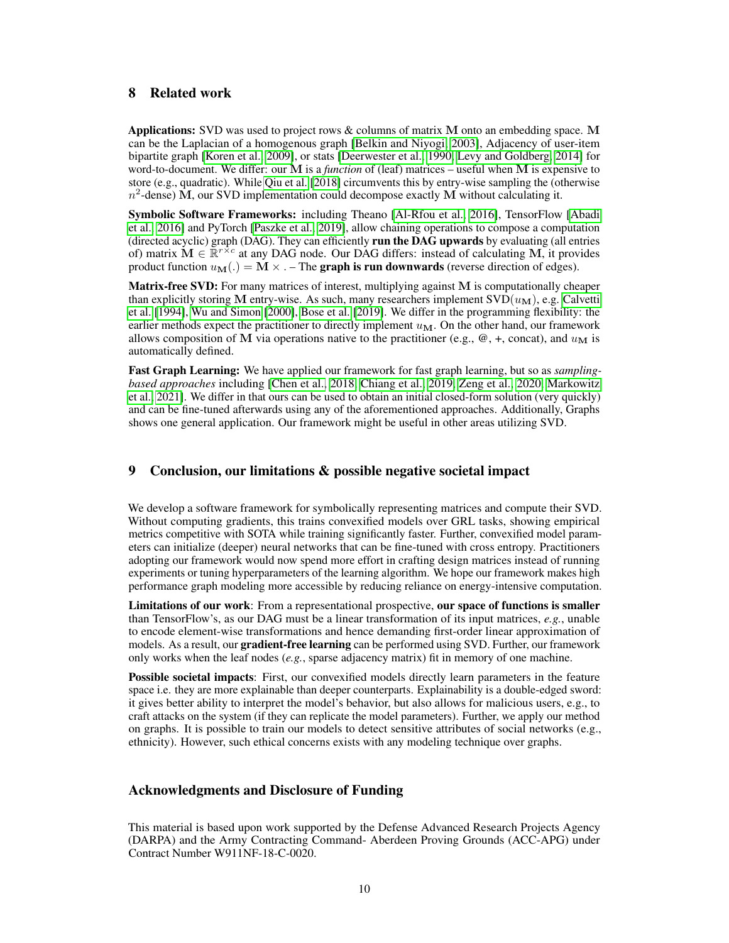# 8 Related work

Applications: SVD was used to project rows  $\&$  columns of matrix M onto an embedding space. M can be the Laplacian of a homogenous graph [\[Belkin and Niyogi, 2003\]](#page-10-12), Adjacency of user-item bipartite graph [\[Koren et al., 2009\]](#page-11-1), or stats [\[Deerwester et al., 1990,](#page-10-0) [Levy and Goldberg, 2014\]](#page-11-2) for word-to-document. We differ: our M is a *function* of (leaf) matrices – useful when M is expensive to store (e.g., quadratic). While [Qiu et al.](#page-11-3) [\[2018\]](#page-11-3) circumvents this by entry-wise sampling the (otherwise  $n^2$ -dense) M, our SVD implementation could decompose exactly M without calculating it.

Symbolic Software Frameworks: including Theano [\[Al-Rfou et al., 2016\]](#page-10-13), TensorFlow [\[Abadi](#page-10-1) [et al., 2016\]](#page-10-1) and PyTorch [\[Paszke et al., 2019\]](#page-11-4), allow chaining operations to compose a computation (directed acyclic) graph (DAG). They can efficiently run the DAG upwards by evaluating (all entries of) matrix  $\mathbf{M} \in \mathbb{R}^{r \times c}$  at any DAG node. Our DAG differs: instead of calculating M, it provides product function  $u_{\mathbf{M}}(.) = \mathbf{M} \times \cdot$  – The graph is run downwards (reverse direction of edges).

Matrix-free SVD: For many matrices of interest, multiplying against M is computationally cheaper than explicitly storing M entry-wise. As such, many researchers implement  $SVD(u<sub>M</sub>)$ , e.g. [Calvetti](#page-10-14) [et al.](#page-10-14) [\[1994\]](#page-10-14), [Wu and Simon](#page-12-9) [\[2000\]](#page-12-9), [Bose et al.](#page-10-15) [\[2019\]](#page-10-15). We differ in the programming flexibility: the earlier methods expect the practitioner to directly implement  $u_M$ . On the other hand, our framework allows composition of M via operations native to the practitioner (e.g.,  $\omega$ , +, concat), and  $u_M$  is automatically defined.

Fast Graph Learning: We have applied our framework for fast graph learning, but so as *samplingbased approaches* including [\[Chen et al., 2018,](#page-10-16) [Chiang et al., 2019,](#page-10-17) [Zeng et al., 2020,](#page-12-10) [Markowitz](#page-11-15) [et al., 2021\]](#page-11-15). We differ in that ours can be used to obtain an initial closed-form solution (very quickly) and can be fine-tuned afterwards using any of the aforementioned approaches. Additionally, Graphs shows one general application. Our framework might be useful in other areas utilizing SVD.

# 9 Conclusion, our limitations & possible negative societal impact

We develop a software framework for symbolically representing matrices and compute their SVD. Without computing gradients, this trains convexified models over GRL tasks, showing empirical metrics competitive with SOTA while training significantly faster. Further, convexified model parameters can initialize (deeper) neural networks that can be fine-tuned with cross entropy. Practitioners adopting our framework would now spend more effort in crafting design matrices instead of running experiments or tuning hyperparameters of the learning algorithm. We hope our framework makes high performance graph modeling more accessible by reducing reliance on energy-intensive computation.

Limitations of our work: From a representational prospective, our space of functions is smaller than TensorFlow's, as our DAG must be a linear transformation of its input matrices, *e.g.*, unable to encode element-wise transformations and hence demanding first-order linear approximation of models. As a result, our gradient-free learning can be performed using SVD. Further, our framework only works when the leaf nodes (*e.g.*, sparse adjacency matrix) fit in memory of one machine.

Possible societal impacts: First, our convexified models directly learn parameters in the feature space i.e. they are more explainable than deeper counterparts. Explainability is a double-edged sword: it gives better ability to interpret the model's behavior, but also allows for malicious users, e.g., to craft attacks on the system (if they can replicate the model parameters). Further, we apply our method on graphs. It is possible to train our models to detect sensitive attributes of social networks (e.g., ethnicity). However, such ethical concerns exists with any modeling technique over graphs.

# Acknowledgments and Disclosure of Funding

This material is based upon work supported by the Defense Advanced Research Projects Agency (DARPA) and the Army Contracting Command- Aberdeen Proving Grounds (ACC-APG) under Contract Number W911NF-18-C-0020.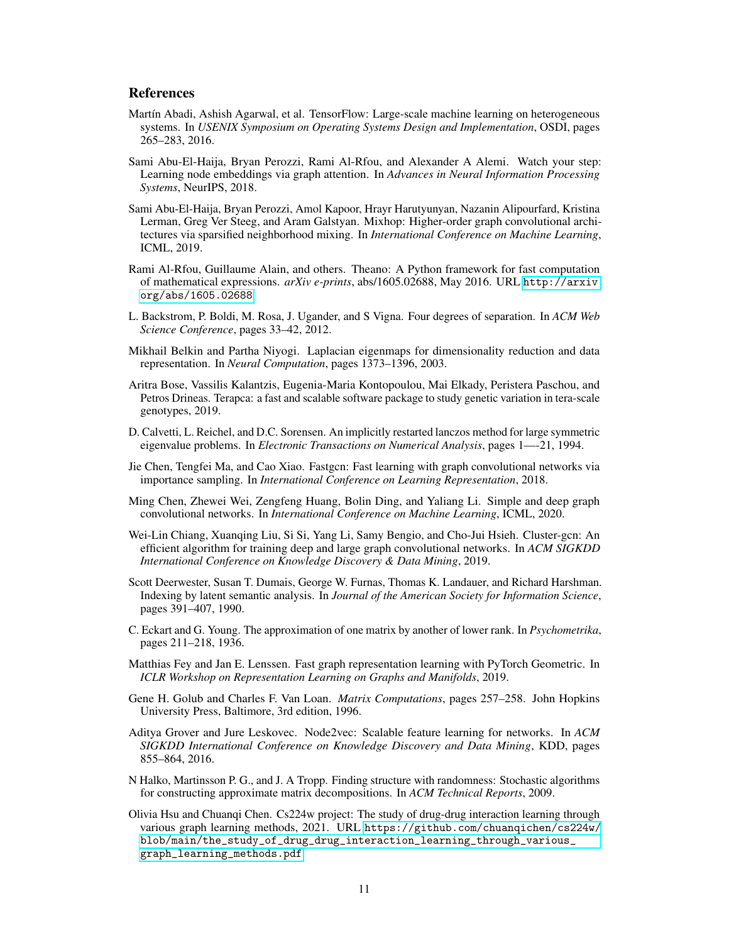## References

- <span id="page-10-1"></span>Martín Abadi, Ashish Agarwal, et al. TensorFlow: Large-scale machine learning on heterogeneous systems. In *USENIX Symposium on Operating Systems Design and Implementation*, OSDI, pages 265–283, 2016.
- <span id="page-10-3"></span>Sami Abu-El-Haija, Bryan Perozzi, Rami Al-Rfou, and Alexander A Alemi. Watch your step: Learning node embeddings via graph attention. In *Advances in Neural Information Processing Systems*, NeurIPS, 2018.
- <span id="page-10-8"></span>Sami Abu-El-Haija, Bryan Perozzi, Amol Kapoor, Hrayr Harutyunyan, Nazanin Alipourfard, Kristina Lerman, Greg Ver Steeg, and Aram Galstyan. Mixhop: Higher-order graph convolutional architectures via sparsified neighborhood mixing. In *International Conference on Machine Learning*, ICML, 2019.
- <span id="page-10-13"></span>Rami Al-Rfou, Guillaume Alain, and others. Theano: A Python framework for fast computation of mathematical expressions. *arXiv e-prints*, abs/1605.02688, May 2016. URL [http://arxiv.](http://arxiv.org/abs/1605.02688) [org/abs/1605.02688](http://arxiv.org/abs/1605.02688).
- <span id="page-10-6"></span>L. Backstrom, P. Boldi, M. Rosa, J. Ugander, and S Vigna. Four degrees of separation. In *ACM Web Science Conference*, pages 33–42, 2012.
- <span id="page-10-12"></span>Mikhail Belkin and Partha Niyogi. Laplacian eigenmaps for dimensionality reduction and data representation. In *Neural Computation*, pages 1373–1396, 2003.
- <span id="page-10-15"></span>Aritra Bose, Vassilis Kalantzis, Eugenia-Maria Kontopoulou, Mai Elkady, Peristera Paschou, and Petros Drineas. Terapca: a fast and scalable software package to study genetic variation in tera-scale genotypes, 2019.
- <span id="page-10-14"></span>D. Calvetti, L. Reichel, and D.C. Sorensen. An implicitly restarted lanczos method for large symmetric eigenvalue problems. In *Electronic Transactions on Numerical Analysis*, pages 1—-21, 1994.
- <span id="page-10-16"></span>Jie Chen, Tengfei Ma, and Cao Xiao. Fastgcn: Fast learning with graph convolutional networks via importance sampling. In *International Conference on Learning Representation*, 2018.
- <span id="page-10-9"></span>Ming Chen, Zhewei Wei, Zengfeng Huang, Bolin Ding, and Yaliang Li. Simple and deep graph convolutional networks. In *International Conference on Machine Learning*, ICML, 2020.
- <span id="page-10-17"></span>Wei-Lin Chiang, Xuanqing Liu, Si Si, Yang Li, Samy Bengio, and Cho-Jui Hsieh. Cluster-gcn: An efficient algorithm for training deep and large graph convolutional networks. In *ACM SIGKDD International Conference on Knowledge Discovery & Data Mining*, 2019.
- <span id="page-10-0"></span>Scott Deerwester, Susan T. Dumais, George W. Furnas, Thomas K. Landauer, and Richard Harshman. Indexing by latent semantic analysis. In *Journal of the American Society for Information Science*, pages 391–407, 1990.
- <span id="page-10-4"></span>C. Eckart and G. Young. The approximation of one matrix by another of lower rank. In *Psychometrika*, pages 211–218, 1936.
- <span id="page-10-10"></span>Matthias Fey and Jan E. Lenssen. Fast graph representation learning with PyTorch Geometric. In *ICLR Workshop on Representation Learning on Graphs and Manifolds*, 2019.
- <span id="page-10-7"></span>Gene H. Golub and Charles F. Van Loan. *Matrix Computations*, pages 257–258. John Hopkins University Press, Baltimore, 3rd edition, 1996.
- <span id="page-10-2"></span>Aditya Grover and Jure Leskovec. Node2vec: Scalable feature learning for networks. In *ACM SIGKDD International Conference on Knowledge Discovery and Data Mining*, KDD, pages 855–864, 2016.
- <span id="page-10-5"></span>N Halko, Martinsson P. G., and J. A Tropp. Finding structure with randomness: Stochastic algorithms for constructing approximate matrix decompositions. In *ACM Technical Reports*, 2009.
- <span id="page-10-11"></span>Olivia Hsu and Chuanqi Chen. Cs224w project: The study of drug-drug interaction learning through various graph learning methods, 2021. URL [https://github.com/chuanqichen/cs224w/](https://github.com/chuanqichen/cs224w/blob/main/the_study_of_drug_drug_interaction_learning_through_various_graph_learning_methods.pdf) [blob/main/the\\_study\\_of\\_drug\\_drug\\_interaction\\_learning\\_through\\_various\\_](https://github.com/chuanqichen/cs224w/blob/main/the_study_of_drug_drug_interaction_learning_through_various_graph_learning_methods.pdf) [graph\\_learning\\_methods.pdf](https://github.com/chuanqichen/cs224w/blob/main/the_study_of_drug_drug_interaction_learning_through_various_graph_learning_methods.pdf).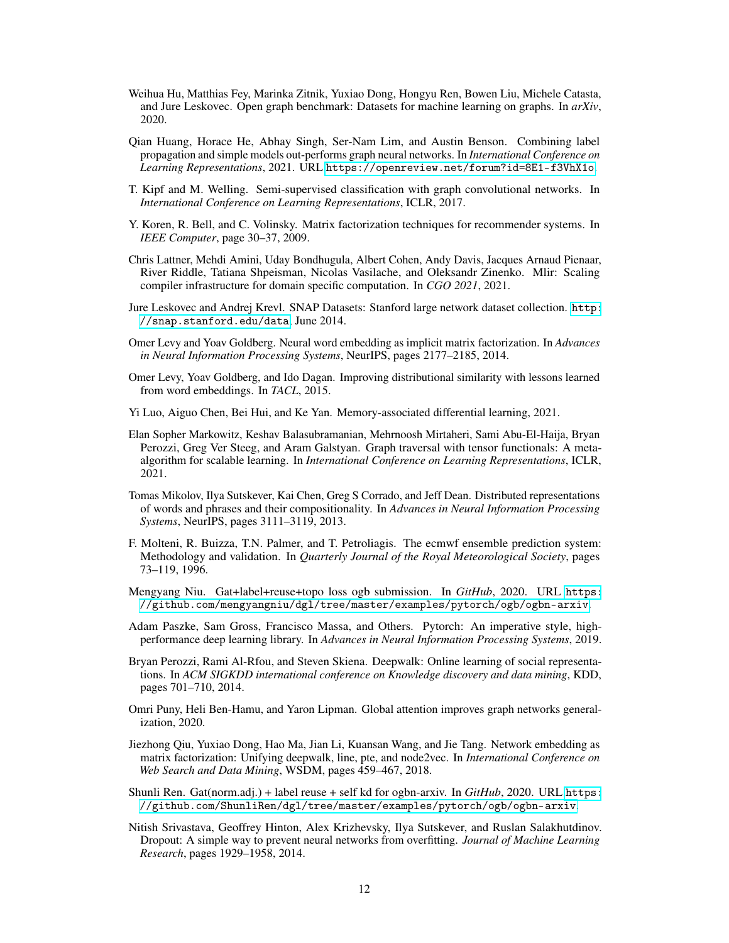- <span id="page-11-12"></span>Weihua Hu, Matthias Fey, Marinka Zitnik, Yuxiao Dong, Hongyu Ren, Bowen Liu, Michele Catasta, and Jure Leskovec. Open graph benchmark: Datasets for machine learning on graphs. In *arXiv*, 2020.
- <span id="page-11-9"></span>Qian Huang, Horace He, Abhay Singh, Ser-Nam Lim, and Austin Benson. Combining label propagation and simple models out-performs graph neural networks. In *International Conference on Learning Representations*, 2021. URL <https://openreview.net/forum?id=8E1-f3VhX1o>.
- <span id="page-11-8"></span>T. Kipf and M. Welling. Semi-supervised classification with graph convolutional networks. In *International Conference on Learning Representations*, ICLR, 2017.
- <span id="page-11-1"></span>Y. Koren, R. Bell, and C. Volinsky. Matrix factorization techniques for recommender systems. In *IEEE Computer*, page 30–37, 2009.
- Chris Lattner, Mehdi Amini, Uday Bondhugula, Albert Cohen, Andy Davis, Jacques Arnaud Pienaar, River Riddle, Tatiana Shpeisman, Nicolas Vasilache, and Oleksandr Zinenko. Mlir: Scaling compiler infrastructure for domain specific computation. In *CGO 2021*, 2021.
- <span id="page-11-11"></span>Jure Leskovec and Andrej Krevl. SNAP Datasets: Stanford large network dataset collection. [http:](http://snap.stanford.edu/data) [//snap.stanford.edu/data](http://snap.stanford.edu/data), June 2014.
- <span id="page-11-2"></span>Omer Levy and Yoav Goldberg. Neural word embedding as implicit matrix factorization. In *Advances in Neural Information Processing Systems*, NeurIPS, pages 2177–2185, 2014.
- <span id="page-11-7"></span>Omer Levy, Yoav Goldberg, and Ido Dagan. Improving distributional similarity with lessons learned from word embeddings. In *TACL*, 2015.
- <span id="page-11-13"></span>Yi Luo, Aiguo Chen, Bei Hui, and Ke Yan. Memory-associated differential learning, 2021.
- <span id="page-11-15"></span>Elan Sopher Markowitz, Keshav Balasubramanian, Mehrnoosh Mirtaheri, Sami Abu-El-Haija, Bryan Perozzi, Greg Ver Steeg, and Aram Galstyan. Graph traversal with tensor functionals: A metaalgorithm for scalable learning. In *International Conference on Learning Representations*, ICLR, 2021.
- <span id="page-11-6"></span>Tomas Mikolov, Ilya Sutskever, Kai Chen, Greg S Corrado, and Jeff Dean. Distributed representations of words and phrases and their compositionality. In *Advances in Neural Information Processing Systems*, NeurIPS, pages 3111–3119, 2013.
- <span id="page-11-0"></span>F. Molteni, R. Buizza, T.N. Palmer, and T. Petroliagis. The ecmwf ensemble prediction system: Methodology and validation. In *Quarterly Journal of the Royal Meteorological Society*, pages 73–119, 1996.
- <span id="page-11-17"></span>Mengyang Niu. Gat+label+reuse+topo loss ogb submission. In *GitHub*, 2020. URL [https:](https://github.com/mengyangniu/dgl/tree/master/examples/pytorch/ogb/ogbn-arxiv) [//github.com/mengyangniu/dgl/tree/master/examples/pytorch/ogb/ogbn-arxiv](https://github.com/mengyangniu/dgl/tree/master/examples/pytorch/ogb/ogbn-arxiv).
- <span id="page-11-4"></span>Adam Paszke, Sam Gross, Francisco Massa, and Others. Pytorch: An imperative style, highperformance deep learning library. In *Advances in Neural Information Processing Systems*, 2019.
- <span id="page-11-5"></span>Bryan Perozzi, Rami Al-Rfou, and Steven Skiena. Deepwalk: Online learning of social representations. In *ACM SIGKDD international conference on Knowledge discovery and data mining*, KDD, pages 701–710, 2014.
- <span id="page-11-14"></span>Omri Puny, Heli Ben-Hamu, and Yaron Lipman. Global attention improves graph networks generalization, 2020.
- <span id="page-11-3"></span>Jiezhong Qiu, Yuxiao Dong, Hao Ma, Jian Li, Kuansan Wang, and Jie Tang. Network embedding as matrix factorization: Unifying deepwalk, line, pte, and node2vec. In *International Conference on Web Search and Data Mining*, WSDM, pages 459–467, 2018.
- <span id="page-11-16"></span>Shunli Ren. Gat(norm.adj.) + label reuse + self kd for ogbn-arxiv. In *GitHub*, 2020. URL [https:](https://github.com/ShunliRen/dgl/tree/master/examples/pytorch/ogb/ogbn-arxiv) [//github.com/ShunliRen/dgl/tree/master/examples/pytorch/ogb/ogbn-arxiv](https://github.com/ShunliRen/dgl/tree/master/examples/pytorch/ogb/ogbn-arxiv).
- <span id="page-11-10"></span>Nitish Srivastava, Geoffrey Hinton, Alex Krizhevsky, Ilya Sutskever, and Ruslan Salakhutdinov. Dropout: A simple way to prevent neural networks from overfitting. *Journal of Machine Learning Research*, pages 1929–1958, 2014.